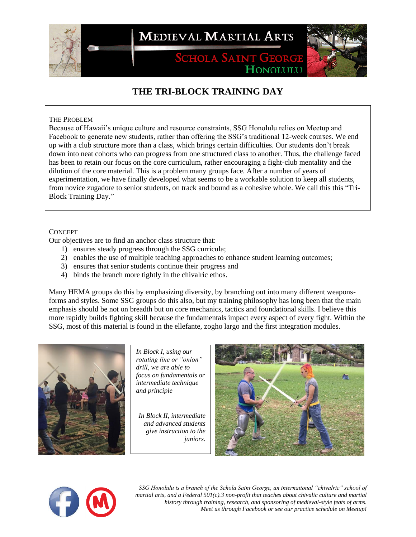

**MEDIEVAL MARTIAL ARTS** 

**SCHOLA SAINT GEORGE** HONOLULU



# **THE TRI-BLOCK TRAINING DAY**

### THE PROBLEM

Because of Hawaii's unique culture and resource constraints, SSG Honolulu relies on Meetup and Facebook to generate new students, rather than offering the SSG's traditional 12-week courses. We end up with a club structure more than a class, which brings certain difficulties. Our students don't break down into neat cohorts who can progress from one structured class to another. Thus, the challenge faced has been to retain our focus on the core curriculum, rather encouraging a fight-club mentality and the dilution of the core material. This is a problem many groups face. After a number of years of experimentation, we have finally developed what seems to be a workable solution to keep all students, from novice zugadore to senior students, on track and bound as a cohesive whole. We call this this "Tri-Block Training Day."

### **CONCEPT**

Our objectives are to find an anchor class structure that:

- 1) ensures steady progress through the SSG curricula;
- 2) enables the use of multiple teaching approaches to enhance student learning outcomes;
- 3) ensures that senior students continue their progress and
- 4) binds the branch more tightly in the chivalric ethos.

Many HEMA groups do this by emphasizing diversity, by branching out into many different weaponsforms and styles. Some SSG groups do this also, but my training philosophy has long been that the main emphasis should be not on breadth but on core mechanics, tactics and foundational skills. I believe this more rapidly builds fighting skill because the fundamentals impact every aspect of every fight. Within the SSG, most of this material is found in the ellefante, zogho largo and the first integration modules.



*In Block I, using our rotating line or "onion" drill, we are able to focus on fundamentals or intermediate technique and principle*

*In Block II, intermediate and advanced students give instruction to the juniors.* 





*SSG Honolulu is a branch of the Schola Saint George, an international "chivalric" school of martial arts, and a Federal 501(c).3 non-profit that teaches about chivalic culture and martial history through training, research, and sponsoring of medieval-style feats of arms. Meet us through Facebook or see our practice schedule on Meetup!*